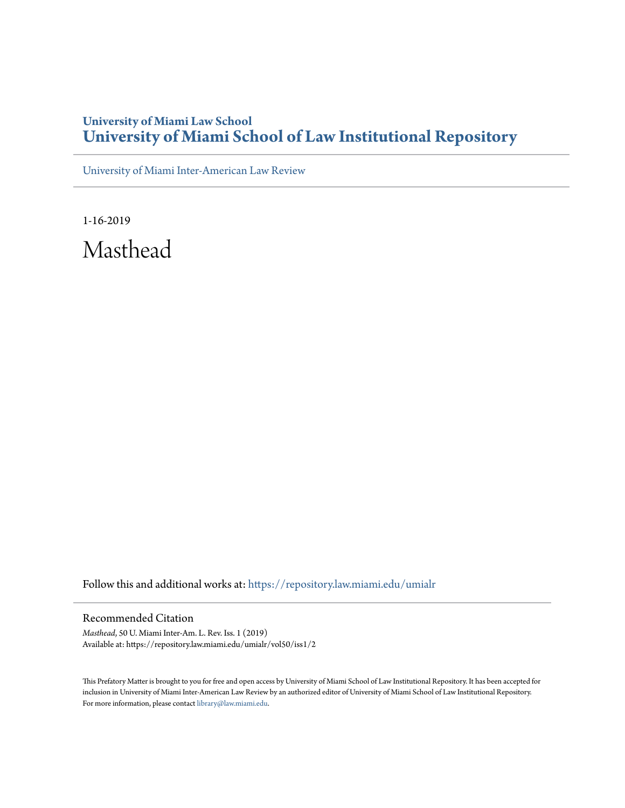## **University of Miami Law School [University of Miami School of Law Institutional Repository](https://repository.law.miami.edu?utm_source=repository.law.miami.edu%2Fumialr%2Fvol50%2Fiss1%2F2&utm_medium=PDF&utm_campaign=PDFCoverPages)**

[University of Miami Inter-American Law Review](https://repository.law.miami.edu/umialr?utm_source=repository.law.miami.edu%2Fumialr%2Fvol50%2Fiss1%2F2&utm_medium=PDF&utm_campaign=PDFCoverPages)

1-16-2019 Masthead

Follow this and additional works at: [https://repository.law.miami.edu/umialr](https://repository.law.miami.edu/umialr?utm_source=repository.law.miami.edu%2Fumialr%2Fvol50%2Fiss1%2F2&utm_medium=PDF&utm_campaign=PDFCoverPages)

### Recommended Citation

*Masthead*, 50 U. Miami Inter-Am. L. Rev. Iss. 1 (2019) Available at: https://repository.law.miami.edu/umialr/vol50/iss1/2

This Prefatory Matter is brought to you for free and open access by University of Miami School of Law Institutional Repository. It has been accepted for inclusion in University of Miami Inter-American Law Review by an authorized editor of University of Miami School of Law Institutional Repository. For more information, please contact [library@law.miami.edu](mailto:library@law.miami.edu).